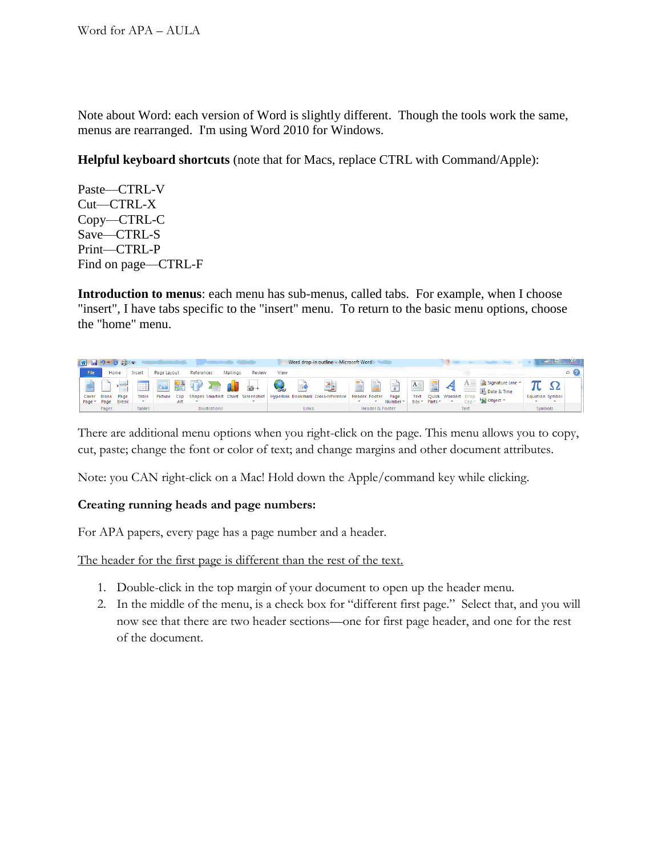Note about Word: each version of Word is slightly different. Though the tools work the same, menus are rearranged. I'm using Word 2010 for Windows.

**Helpful keyboard shortcuts** (note that for Macs, replace CTRL with Command/Apple):

Paste—CTRL-V Cut—CTRL-X Copy—CTRL-C Save—CTRL-S Print—CTRL-P Find on page—CTRL-F

**Introduction to menus**: each menu has sub-menus, called tabs. For example, when I choose "insert", I have tabs specific to the "insert" menu. To return to the basic menu options, choose the "home" menu.

| $ W $ $ H $ $ H $ $ H $ $ H $ $ H $ $ H $ $ H $ $ H $ $ H $ $ H $ $ H $ $ H $ $ H $ $ H $ $ H $ |                           |                                   |        |             |                          |                            |                |        |      |               | Word drop-in outline - Microsoft Word                                    |                           |                            |                                  |                           |              |                    |                   |                                                   |                        |          |
|-------------------------------------------------------------------------------------------------|---------------------------|-----------------------------------|--------|-------------|--------------------------|----------------------------|----------------|--------|------|---------------|--------------------------------------------------------------------------|---------------------------|----------------------------|----------------------------------|---------------------------|--------------|--------------------|-------------------|---------------------------------------------------|------------------------|----------|
| File                                                                                            |                           | Home                              | Insert | Page Layout |                          | References                 | Mailings       | Review | View |               |                                                                          |                           |                            |                                  |                           |              |                    |                   |                                                   |                        | $\infty$ |
| Cover                                                                                           | <b>Blank</b><br>Page Page | ___<br>__<br>Page<br><b>Break</b> | Table  | Picture     | 늶을<br><b>Clip</b><br>Art | $\sqrt{2}$<br>$\sum_{i=1}$ | $\blacksquare$ | ை      |      | $\Rightarrow$ | 롴<br>Shapes SmartArt Chart Screenshot Hyperlink Bookmark Cross-reference | Ħ<br><b>Header Footer</b> | e                          | 量<br>Page<br>Number <sup>-</sup> | A<br><b>Text</b><br>Box + | 屋<br>Parts * | Quick WordArt Drop | $=$<br><b>Jan</b> | Signature Line *<br>5% Date & Time<br>ge Object - | <b>Equation Symbol</b> |          |
|                                                                                                 | Pages                     |                                   | Tables |             |                          | <b>Illustrations</b>       |                |        |      | Links         |                                                                          |                           | <b>Header &amp; Footer</b> |                                  |                           |              |                    | Text              |                                                   | <b>Symbols</b>         |          |

There are additional menu options when you right-click on the page. This menu allows you to copy, cut, paste; change the font or color of text; and change margins and other document attributes.

Note: you CAN right-click on a Mac! Hold down the Apple/command key while clicking.

## **Creating running heads and page numbers:**

For APA papers, every page has a page number and a header.

The header for the first page is different than the rest of the text.

- 1. Double-click in the top margin of your document to open up the header menu.
- 2. In the middle of the menu, is a check box for "different first page." Select that, and you will now see that there are two header sections—one for first page header, and one for the rest of the document.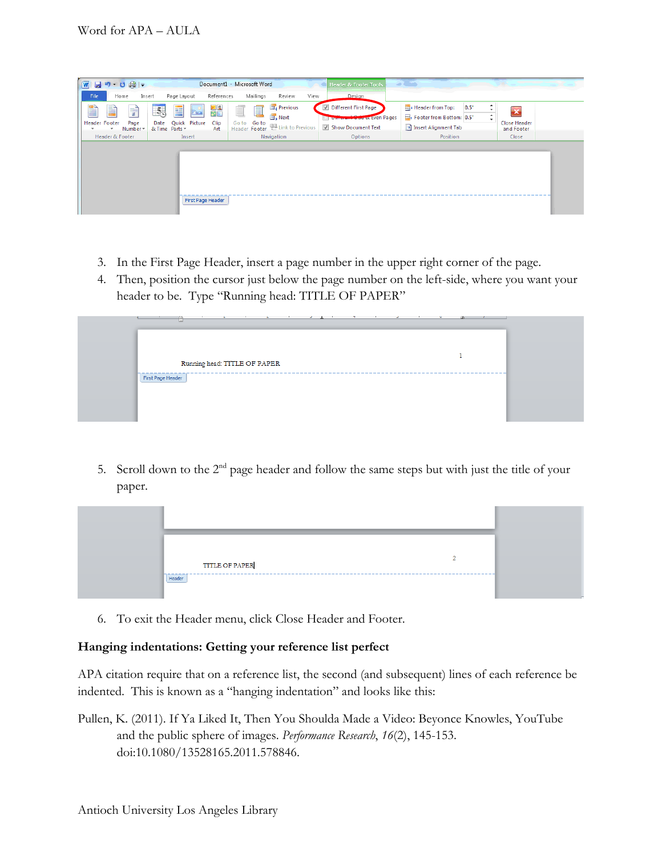| $\sqrt{W}$<br>$H9.0 + 1$                 |                                                        | Document1 - Microsoft Word                              | <b>Header &amp; Footer Tools</b>            | <b>Section</b>                    |                                   |
|------------------------------------------|--------------------------------------------------------|---------------------------------------------------------|---------------------------------------------|-----------------------------------|-----------------------------------|
| File<br>Insert<br>Home                   | Page Layout<br>References                              | Mailings<br>View<br>Review                              | Design                                      |                                   |                                   |
| P<br>È<br>$\equiv$                       | $\frac{1}{2}$<br>$\frac{5}{20}$<br>$\sim$<br>嘼         | <b>Previous</b><br>j                                    | Different First Page<br>M                   | $0.5^{\circ}$<br>Header from Top: | x                                 |
|                                          |                                                        | <b>B</b> Next                                           | <b>The community of the existence Pages</b> | Footer from Bottom: 0.5"          |                                   |
| <b>Header Footer</b><br>Page<br>Number * | Quick Picture<br>Clip<br>Date<br>& Time Parts *<br>Art | Go to Go to<br>Header Footer <b>12 Link</b> to Previous | Show Document Text                          | Insert Alignment Tab              | <b>Close Header</b><br>and Footer |
| <b>Header &amp; Footer</b>               | Insert                                                 | Navigation                                              | Options                                     | Position                          | Close                             |
|                                          |                                                        |                                                         |                                             |                                   |                                   |
|                                          | First Page Header                                      |                                                         |                                             |                                   |                                   |

- 3. In the First Page Header, insert a page number in the upper right corner of the page.
- 4. Then, position the cursor just below the page number on the left-side, where you want your header to be. Type "Running head: TITLE OF PAPER"



5. Scroll down to the  $2<sup>nd</sup>$  page header and follow the same steps but with just the title of your paper.



6. To exit the Header menu, click Close Header and Footer.

## **Hanging indentations: Getting your reference list perfect**

APA citation require that on a reference list, the second (and subsequent) lines of each reference be indented. This is known as a "hanging indentation" and looks like this:

Pullen, K. (2011). If Ya Liked It, Then You Shoulda Made a Video: Beyonce Knowles, YouTube and the public sphere of images. *Performance Research*, *16*(2), 145-153. doi:10.1080/13528165.2011.578846.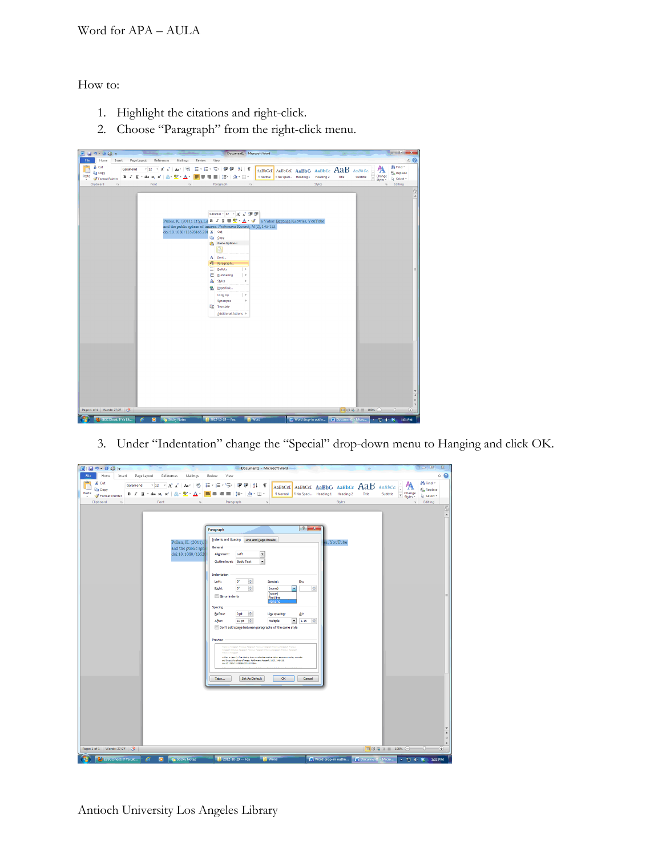How to:

- 1. Highlight the citations and right-click.
- 2. Choose "Paragraph" from the right-click menu.

| Home<br>Insert<br>Page Layout<br>File<br>References<br>Mailings<br>Review<br>View<br>角 Find *<br>& Cut<br>・A A A A 受<br>狂・狂・特・健康   斜   ¶<br>Garamond<br>$-12$<br>AaBbCcI AaBbCcI AaBbCi AaBbCc AaB AaBbCc<br><b>Copy</b><br><b>Cae Replace</b><br>Paste<br>■■■■■ #・  ※・田・<br>1 No Spaci Heading 1 Heading 2<br>Change<br>Styles *<br>1 Normal<br>Title<br>Subtitle<br>V<br>Format Painter<br>Select -<br>Editing<br>Clipboard<br>Styles<br>$\overline{\mathfrak{r}_{\mathfrak{A}}}$<br>Font<br>Paragraph<br>$\overline{\mathfrak{r}_{\mathfrak{A}}}$<br>G.<br>$\Gamma_{\rm M}$ | $\circ$ 0                                 |
|--------------------------------------------------------------------------------------------------------------------------------------------------------------------------------------------------------------------------------------------------------------------------------------------------------------------------------------------------------------------------------------------------------------------------------------------------------------------------------------------------------------------------------------------------------------------------------|-------------------------------------------|
|                                                                                                                                                                                                                                                                                                                                                                                                                                                                                                                                                                                |                                           |
|                                                                                                                                                                                                                                                                                                                                                                                                                                                                                                                                                                                |                                           |
|                                                                                                                                                                                                                                                                                                                                                                                                                                                                                                                                                                                |                                           |
| Garamor - 12 · A A 图 课<br>Pullen, K. (2011). If Ya Lii <b>B</b> $I \perp \equiv \frac{1}{2} \cdot \mathbf{A} \cdot \mathbf{A}$ a Video: Beyonce Knowles, YouTube<br>and the public sphere of images. Performant Research, 16(2), 145-153.<br>doi:10.1080/13528165.201 & Cut<br><b>La</b> Copy<br>Paste Options:<br>ă<br>A Font<br>Paragraph<br>雨<br>拦<br>Bullets<br>$\vert$ ><br>拒<br>Numbering<br>$\rightarrow$<br>А<br>Styles<br>×<br>9.<br>Hyperlink<br>$\rightarrow$<br>Look Up<br>Synonyms<br>×<br><b>JE Translate</b><br>Additional Actions >                            | $\circ$                                   |
| Page: 1 of 1 Words: 27/27 3<br>-0                                                                                                                                                                                                                                                                                                                                                                                                                                                                                                                                              | $\overline{ }$<br>$\left( \oplus \right)$ |
| D EBSCOhost: If Ya Lik<br><b>Ta</b> Sticky Notes<br>$2012 - 10 - 29 - F\text{ox}$<br><b>N</b> Word<br>Word drop-in outlin<br>V Document1 - Micro<br>é<br>۰<br>- 口中等                                                                                                                                                                                                                                                                                                                                                                                                            | 1:01 PM                                   |

3. Under "Indentation" change the "Special" drop-down menu to Hanging and click OK.